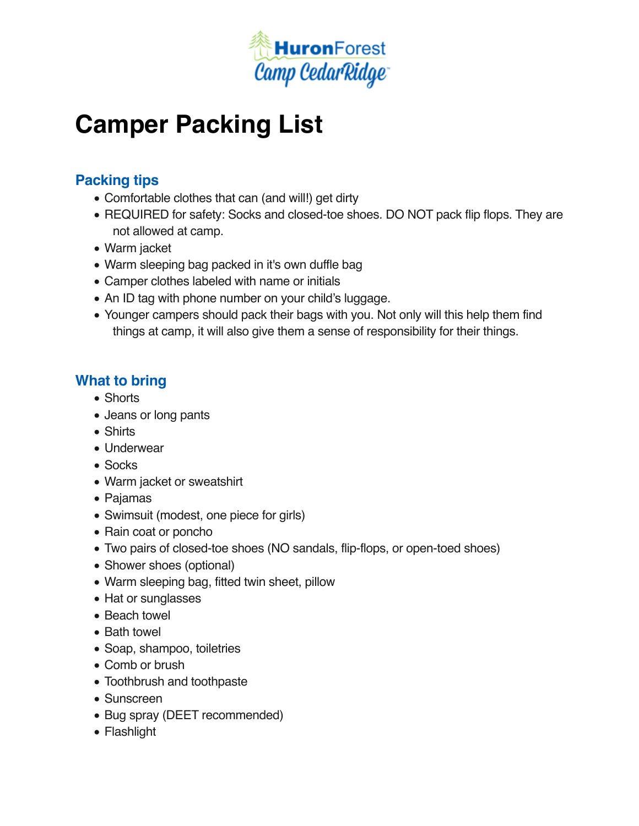

# **Camper Packing List**

## **Packing tips**

- Comfortable clothes that can (and will!) get dirty
- REQUIRED for safety: Socks and closed-toe shoes. DO NOT pack flip flops. They are not allowed at camp.
- Warm jacket
- Warm sleeping bag packed in it's own duffle bag
- Camper clothes labeled with name or initials
- An ID tag with phone number on your child's luggage.
- Younger campers should pack their bags with you. Not only will this help them find things at camp, it will also give them a sense of responsibility for their things.

## **What to bring**

- Shorts
- Jeans or long pants
- Shirts
- Underwear
- Socks
- Warm jacket or sweatshirt
- Pajamas
- Swimsuit (modest, one piece for girls)
- Rain coat or poncho
- Two pairs of closed-toe shoes (NO sandals, flip-flops, or open-toed shoes)
- Shower shoes (optional)
- Warm sleeping bag, fitted twin sheet, pillow
- Hat or sunglasses
- Beach towel
- Bath towel
- Soap, shampoo, toiletries
- Comb or brush
- Toothbrush and toothpaste
- Sunscreen
- Bug spray (DEET recommended)
- Flashlight